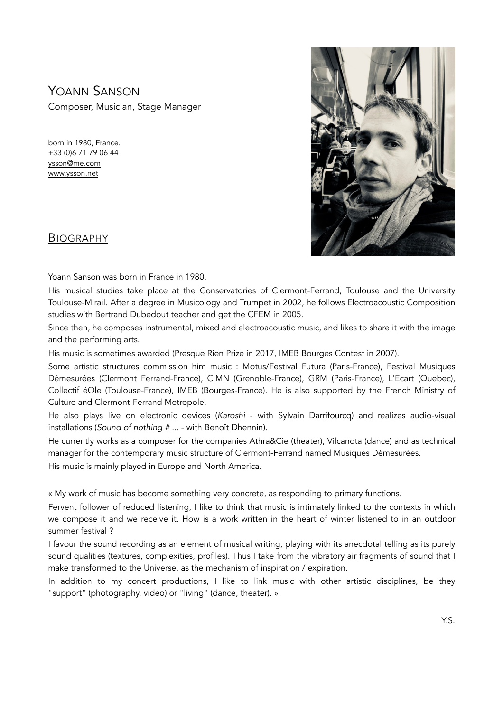YOANN SANSON Composer, Musician, Stage Manager

born in 1980, France. +33 (0)6 71 79 06 44 [ysson@me.com](mailto:ysson@me.com) [www.ysson.net](http://www.ysson.net)



# BIOGRAPHY

Yoann Sanson was born in France in 1980.

His musical studies take place at the Conservatories of Clermont-Ferrand, Toulouse and the University Toulouse-Mirail. After a degree in Musicology and Trumpet in 2002, he follows Electroacoustic Composition studies with Bertrand Dubedout teacher and get the CFEM in 2005.

Since then, he composes instrumental, mixed and electroacoustic music, and likes to share it with the image and the performing arts.

His music is sometimes awarded (Presque Rien Prize in 2017, IMEB Bourges Contest in 2007).

Some artistic structures commission him music : Motus/Festival Futura (Paris-France), Festival Musiques Démesurées (Clermont Ferrand-France), CIMN (Grenoble-France), GRM (Paris-France), L'Ecart (Quebec), Collectif éOle (Toulouse-France), IMEB (Bourges-France). He is also supported by the French Ministry of Culture and Clermont-Ferrand Metropole.

He also plays live on electronic devices (*Karoshi* - with Sylvain Darrifourcq) and realizes audio-visual installations (*Sound of nothing # ...* - with Benoît Dhennin).

He currently works as a composer for the companies Athra&Cie (theater), Vilcanota (dance) and as technical manager for the contemporary music structure of Clermont-Ferrand named Musiques Démesurées. His music is mainly played in Europe and North America.

« My work of music has become something very concrete, as responding to primary functions.

Fervent follower of reduced listening, I like to think that music is intimately linked to the contexts in which we compose it and we receive it. How is a work written in the heart of winter listened to in an outdoor summer festival ?

I favour the sound recording as an element of musical writing, playing with its anecdotal telling as its purely sound qualities (textures, complexities, profiles). Thus I take from the vibratory air fragments of sound that I make transformed to the Universe, as the mechanism of inspiration / expiration.

In addition to my concert productions, I like to link music with other artistic disciplines, be they "support" (photography, video) or "living" (dance, theater). »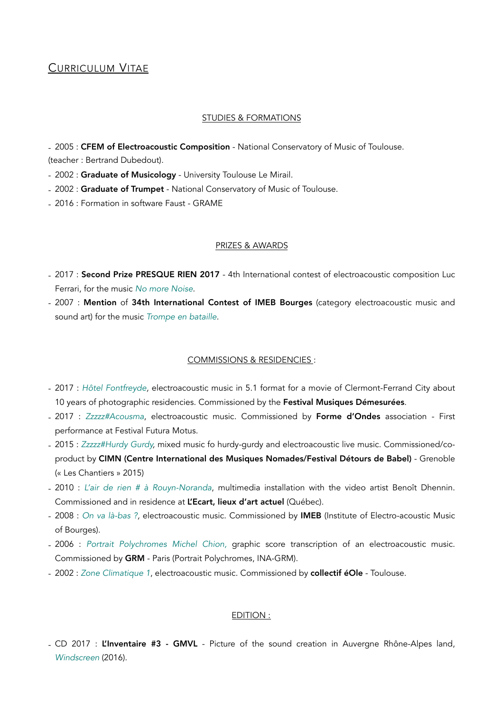# CURRICULUM VITAE

#### STUDIES & FORMATIONS

- 2005 : CFEM of Electroacoustic Composition - National Conservatory of Music of Toulouse. (teacher : Bertrand Dubedout).

- 2002 : Graduate of Musicology - University Toulouse Le Mirail.

- 2002 : Graduate of Trumpet National Conservatory of Music of Toulouse.
- 2016 : Formation in software Faust GRAME

#### PRIZES & AWARDS

- 2017 : Second Prize PRESQUE RIEN 2017 4th International contest of electroacoustic composition Luc Ferrari, for the music *No more Noise*.
- 2007 : Mention of 34th International Contest of IMEB Bourges (category electroacoustic music and sound art) for the music *Trompe en bataille*.

#### COMMISSIONS & RESIDENCIES :

- 2017 : *Hôtel Fontfreyde,* electroacoustic music in 5.1 format for a movie of Clermont-Ferrand City about 10 years of photographic residencies. Commissioned by the Festival Musiques Démesurées.
- 2017 : *Zzzzz#Acousma*, electroacoustic music. Commissioned by Forme d'Ondes association First performance at Festival Futura Motus.
- 2015 : *Zzzzz#Hurdy Gurdy,* mixed music fo hurdy-gurdy and electroacoustic live music. Commissioned/coproduct by CIMN (Centre International des Musiques Nomades/Festival Détours de Babel) - Grenoble (« Les Chantiers » 2015)
- 2010 : *L'air de rien # à Rouyn-Noranda*, multimedia installation with the video artist Benoît Dhennin. Commissioned and in residence at L'Ecart, lieux d'art actuel (Québec).
- 2008 : *On va là-bas ?,* electroacoustic music. Commissioned by IMEB (Institute of Electro-acoustic Music of Bourges).
- 2006 : *Portrait Polychromes Michel Chion,* graphic score transcription of an electroacoustic music. Commissioned by GRM - Paris (Portrait Polychromes, INA-GRM).
- 2002 : *Zone Climatique 1*, electroacoustic music. Commissioned by collectif éOle Toulouse.

#### EDITION :

- CD 2017 : L'Inventaire #3 - GMVL - Picture of the sound creation in Auvergne Rhône-Alpes land, *Windscreen* (2016).